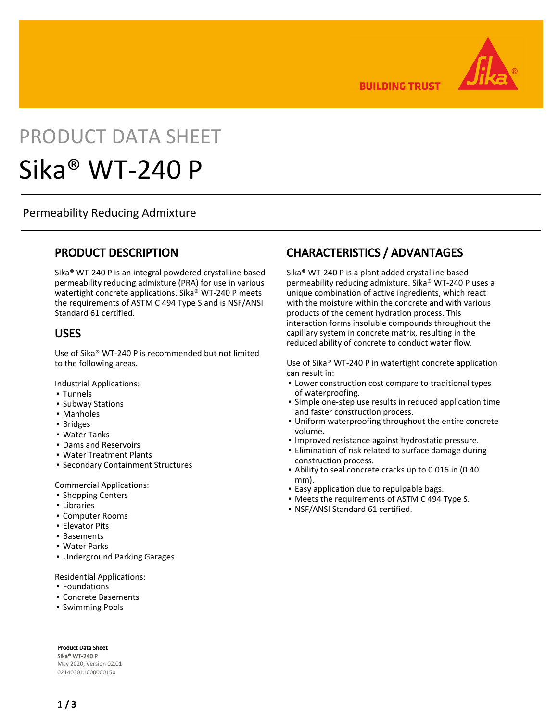**BUILDING TRUST** 



# PRODUCT DATA SHEET Sika® WT-240 P

Permeability Reducing Admixture

### PRODUCT DESCRIPTION

Sika® WT-240 P is an integral powdered crystalline based permeability reducing admixture (PRA) for use in various watertight concrete applications. Sika® WT-240 P meets the requirements of ASTM C 494 Type S and is NSF/ANSI Standard 61 certified.

#### USES

Use of Sika® WT-240 P is recommended but not limited to the following areas.

Industrial Applications:

- Tunnels
- Subway Stations
- Manholes
- Bridges
- Water Tanks
- Dams and Reservoirs
- Water Treatment Plants
- **Secondary Containment Structures**

Commercial Applications:

- **· Shopping Centers**
- Libraries
- Computer Rooms
- Elevator Pits
- Basements
- Water Parks
- Underground Parking Garages

Residential Applications:

- Foundations
- Concrete Basements
- Swimming Pools

Product Data Sheet

Sika® WT-240 P May 2020, Version 02.01 021403011000000150

## CHARACTERISTICS / ADVANTAGES

Sika® WT-240 P is a plant added crystalline based permeability reducing admixture. Sika® WT-240 P uses a unique combination of active ingredients, which react with the moisture within the concrete and with various products of the cement hydration process. This interaction forms insoluble compounds throughout the capillary system in concrete matrix, resulting in the reduced ability of concrete to conduct water flow.

Use of Sika® WT-240 P in watertight concrete application can result in:

- **.** Lower construction cost compare to traditional types of waterproofing.
- **·** Simple one-step use results in reduced application time and faster construction process.
- Uniform waterproofing throughout the entire concrete volume.
- Improved resistance against hydrostatic pressure.
- **Elimination of risk related to surface damage during** construction process.
- Ability to seal concrete cracks up to 0.016 in (0.40 mm).
- **Easy application due to repulpable bags.**
- Meets the requirements of ASTM C 494 Type S.
- NSF/ANSI Standard 61 certified.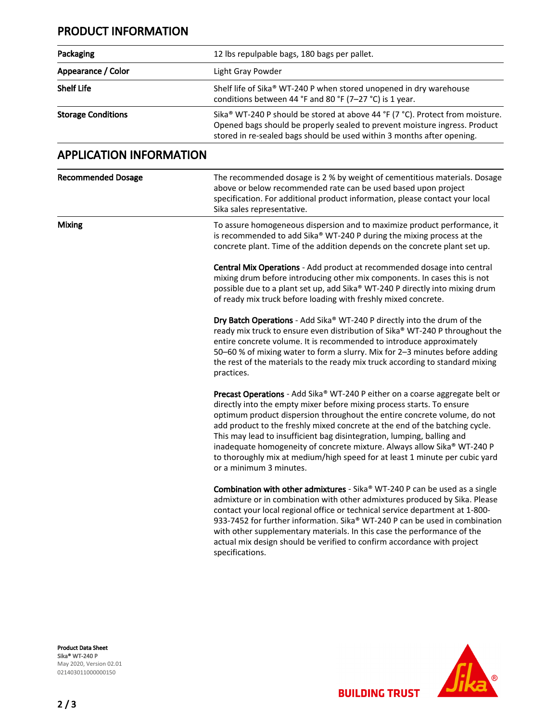#### PRODUCT INFORMATION

| Packaging                      | 12 lbs repulpable bags, 180 bags per pallet.                                                                                                                                                                                                                                                                                                                                                                                                                                                                                                                                    |
|--------------------------------|---------------------------------------------------------------------------------------------------------------------------------------------------------------------------------------------------------------------------------------------------------------------------------------------------------------------------------------------------------------------------------------------------------------------------------------------------------------------------------------------------------------------------------------------------------------------------------|
| Appearance / Color             | Light Gray Powder                                                                                                                                                                                                                                                                                                                                                                                                                                                                                                                                                               |
| <b>Shelf Life</b>              | Shelf life of Sika® WT-240 P when stored unopened in dry warehouse<br>conditions between 44 °F and 80 °F (7-27 °C) is 1 year.                                                                                                                                                                                                                                                                                                                                                                                                                                                   |
| <b>Storage Conditions</b>      | Sika® WT-240 P should be stored at above 44 °F (7 °C). Protect from moisture.<br>Opened bags should be properly sealed to prevent moisture ingress. Product<br>stored in re-sealed bags should be used within 3 months after opening.                                                                                                                                                                                                                                                                                                                                           |
| <b>APPLICATION INFORMATION</b> |                                                                                                                                                                                                                                                                                                                                                                                                                                                                                                                                                                                 |
| <b>Recommended Dosage</b>      | The recommended dosage is 2 % by weight of cementitious materials. Dosage<br>above or below recommended rate can be used based upon project<br>specification. For additional product information, please contact your local<br>Sika sales representative.                                                                                                                                                                                                                                                                                                                       |
| <b>Mixing</b>                  | To assure homogeneous dispersion and to maximize product performance, it<br>is recommended to add Sika® WT-240 P during the mixing process at the<br>concrete plant. Time of the addition depends on the concrete plant set up.                                                                                                                                                                                                                                                                                                                                                 |
|                                | Central Mix Operations - Add product at recommended dosage into central<br>mixing drum before introducing other mix components. In cases this is not<br>possible due to a plant set up, add Sika® WT-240 P directly into mixing drum<br>of ready mix truck before loading with freshly mixed concrete.                                                                                                                                                                                                                                                                          |
|                                | Dry Batch Operations - Add Sika® WT-240 P directly into the drum of the<br>ready mix truck to ensure even distribution of Sika® WT-240 P throughout the<br>entire concrete volume. It is recommended to introduce approximately<br>50-60 % of mixing water to form a slurry. Mix for 2-3 minutes before adding<br>the rest of the materials to the ready mix truck according to standard mixing<br>practices.                                                                                                                                                                   |
|                                | Precast Operations - Add Sika® WT-240 P either on a coarse aggregate belt or<br>directly into the empty mixer before mixing process starts. To ensure<br>optimum product dispersion throughout the entire concrete volume, do not<br>add product to the freshly mixed concrete at the end of the batching cycle.<br>This may lead to insufficient bag disintegration, lumping, balling and<br>inadequate homogeneity of concrete mixture. Always allow Sika® WT-240 P<br>to thoroughly mix at medium/high speed for at least 1 minute per cubic yard<br>or a minimum 3 minutes. |
|                                | Combination with other admixtures - Sika® WT-240 P can be used as a single<br>admixture or in combination with other admixtures produced by Sika. Please<br>contact your local regional office or technical service department at 1-800-<br>933-7452 for further information. Sika® WT-240 P can be used in combination<br>with other supplementary materials. In this case the performance of the<br>actual mix design should be verified to confirm accordance with project<br>specifications.                                                                                |

Product Data Sheet Sika® WT-240 P May 2020, Version 02.01 021403011000000150